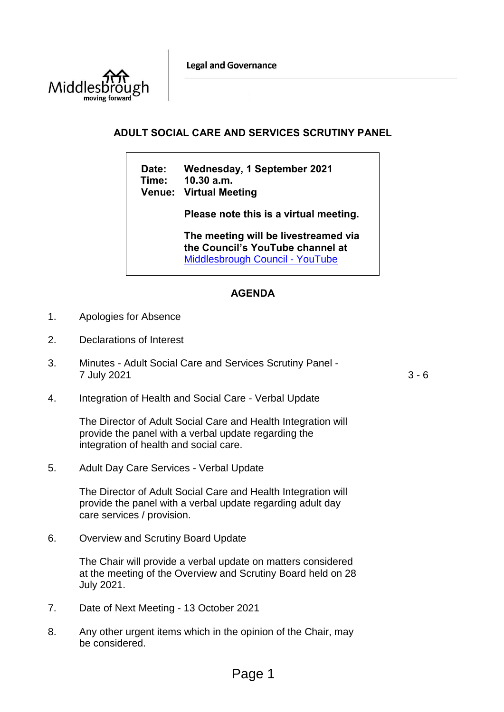**Legal and Governance** 



# **ADULT SOCIAL CARE AND SERVICES SCRUTINY PANEL**

**Date: Wednesday, 1 September 2021 Time: 10.30 a.m. Venue: Virtual Meeting**

**Please note this is a virtual meeting.** 

**The meeting will be livestreamed via the Council's YouTube channel at**  [Middlesbrough Council -](https://www.youtube.com/user/middlesbroughcouncil) YouTube

# **AGENDA**

- 1. Apologies for Absence
- 2. Declarations of Interest
- 3. Minutes Adult Social Care and Services Scrutiny Panel 7 July 2021 3 - 6

4. Integration of Health and Social Care - Verbal Update

The Director of Adult Social Care and Health Integration will provide the panel with a verbal update regarding the integration of health and social care.

5. Adult Day Care Services - Verbal Update

The Director of Adult Social Care and Health Integration will provide the panel with a verbal update regarding adult day care services / provision.

6. Overview and Scrutiny Board Update

The Chair will provide a verbal update on matters considered at the meeting of the Overview and Scrutiny Board held on 28 July 2021.

- 7. Date of Next Meeting 13 October 2021
- 8. Any other urgent items which in the opinion of the Chair, may be considered.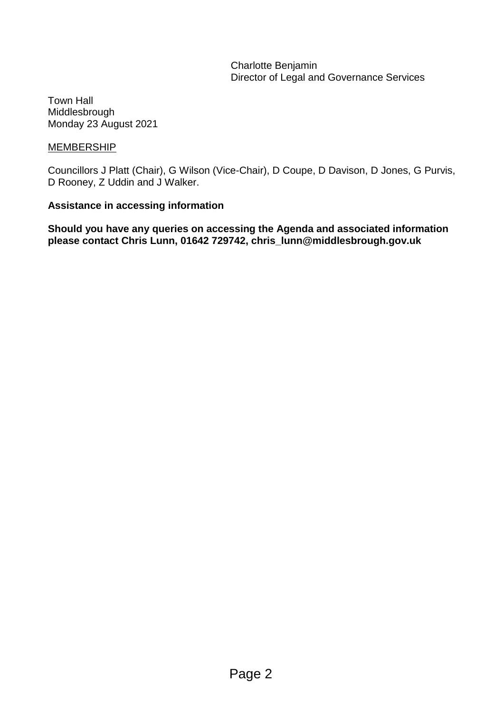Charlotte Benjamin Director of Legal and Governance Services

Town Hall Middlesbrough Monday 23 August 2021

# MEMBERSHIP

Councillors J Platt (Chair), G Wilson (Vice-Chair), D Coupe, D Davison, D Jones, G Purvis, D Rooney, Z Uddin and J Walker.

# **Assistance in accessing information**

**Should you have any queries on accessing the Agenda and associated information please contact Chris Lunn, 01642 729742, chris\_lunn@middlesbrough.gov.uk**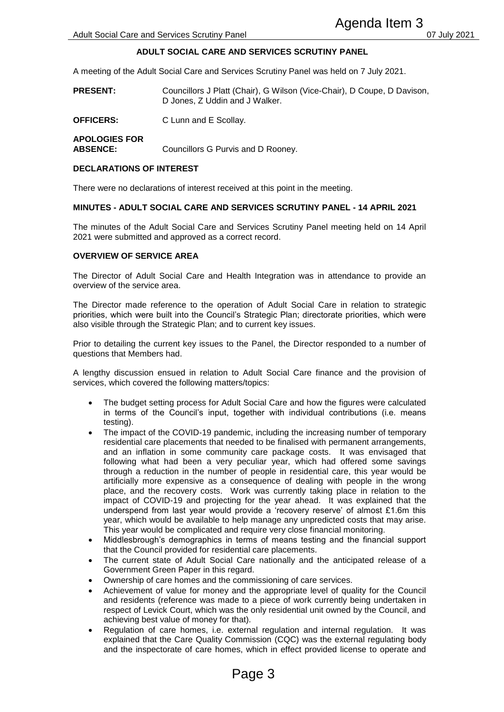## **ADULT SOCIAL CARE AND SERVICES SCRUTINY PANEL**

A meeting of the Adult Social Care and Services Scrutiny Panel was held on 7 July 2021.

- **PRESENT:** Councillors J Platt (Chair), G Wilson (Vice-Chair), D Coupe, D Davison, D Jones, Z Uddin and J Walker.
- **OFFICERS:** C Lunn and E Scollay.

**APOLOGIES FOR ABSENCE:** Councillors G Purvis and D Rooney.

#### **DECLARATIONS OF INTEREST**

There were no declarations of interest received at this point in the meeting.

#### **MINUTES - ADULT SOCIAL CARE AND SERVICES SCRUTINY PANEL - 14 APRIL 2021**

The minutes of the Adult Social Care and Services Scrutiny Panel meeting held on 14 April 2021 were submitted and approved as a correct record.

#### **OVERVIEW OF SERVICE AREA**

The Director of Adult Social Care and Health Integration was in attendance to provide an overview of the service area.

The Director made reference to the operation of Adult Social Care in relation to strategic priorities, which were built into the Council's Strategic Plan; directorate priorities, which were also visible through the Strategic Plan; and to current key issues.

Prior to detailing the current key issues to the Panel, the Director responded to a number of questions that Members had.

A lengthy discussion ensued in relation to Adult Social Care finance and the provision of services, which covered the following matters/topics:

- The budget setting process for Adult Social Care and how the figures were calculated in terms of the Council's input, together with individual contributions (i.e. means testing).
- The impact of the COVID-19 pandemic, including the increasing number of temporary residential care placements that needed to be finalised with permanent arrangements, and an inflation in some community care package costs. It was envisaged that following what had been a very peculiar year, which had offered some savings through a reduction in the number of people in residential care, this year would be artificially more expensive as a consequence of dealing with people in the wrong place, and the recovery costs. Work was currently taking place in relation to the impact of COVID-19 and projecting for the year ahead. It was explained that the underspend from last year would provide a 'recovery reserve' of almost £1.6m this year, which would be available to help manage any unpredicted costs that may arise. This year would be complicated and require very close financial monitoring. **Example 16 Agenda Item 3**<br> **Agenda Item 3**<br> **And SERVICES SCRUTINY PANEL**<br>
Trivias Scruttiny Panel was held on 7 July 2021.<br>
Chair), G Wilson (Vice-Chair), D Coupe, D Daviso<br>
and J Walker.<br>
Ilay.<br>
is and D Rooney.<br>
sive a
- Middlesbrough's demographics in terms of means testing and the financial support that the Council provided for residential care placements.
- The current state of Adult Social Care nationally and the anticipated release of a Government Green Paper in this regard.
- Ownership of care homes and the commissioning of care services.
- Achievement of value for money and the appropriate level of quality for the Council and residents (reference was made to a piece of work currently being undertaken in respect of Levick Court, which was the only residential unit owned by the Council, and achieving best value of money for that).
- Regulation of care homes, i.e. external regulation and internal regulation. It was explained that the Care Quality Commission (CQC) was the external regulating body and the inspectorate of care homes, which in effect provided license to operate and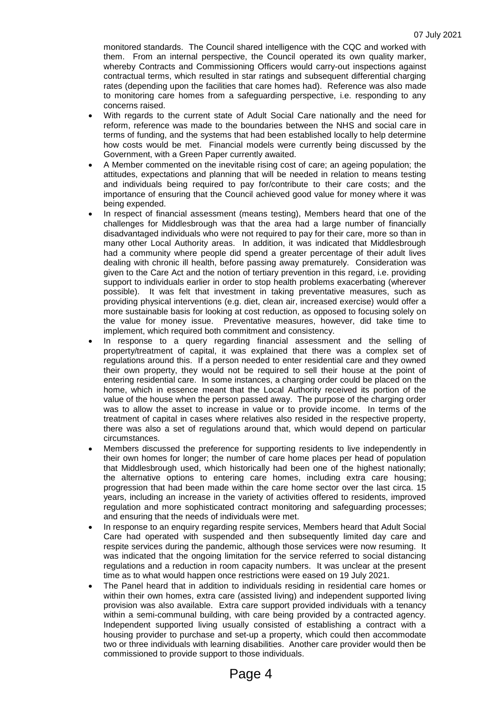monitored standards. The Council shared intelligence with the CQC and worked with them. From an internal perspective, the Council operated its own quality marker, whereby Contracts and Commissioning Officers would carry-out inspections against contractual terms, which resulted in star ratings and subsequent differential charging rates (depending upon the facilities that care homes had). Reference was also made to monitoring care homes from a safeguarding perspective, i.e. responding to any concerns raised.

- With regards to the current state of Adult Social Care nationally and the need for reform, reference was made to the boundaries between the NHS and social care in terms of funding, and the systems that had been established locally to help determine how costs would be met. Financial models were currently being discussed by the Government, with a Green Paper currently awaited.
- A Member commented on the inevitable rising cost of care; an ageing population; the attitudes, expectations and planning that will be needed in relation to means testing and individuals being required to pay for/contribute to their care costs; and the importance of ensuring that the Council achieved good value for money where it was being expended.
- In respect of financial assessment (means testing), Members heard that one of the challenges for Middlesbrough was that the area had a large number of financially disadvantaged individuals who were not required to pay for their care, more so than in many other Local Authority areas. In addition, it was indicated that Middlesbrough had a community where people did spend a greater percentage of their adult lives dealing with chronic ill health, before passing away prematurely. Consideration was given to the Care Act and the notion of tertiary prevention in this regard, i.e. providing support to individuals earlier in order to stop health problems exacerbating (wherever possible). It was felt that investment in taking preventative measures, such as providing physical interventions (e.g. diet, clean air, increased exercise) would offer a more sustainable basis for looking at cost reduction, as opposed to focusing solely on the value for money issue. Preventative measures, however, did take time to implement, which required both commitment and consistency.
- In response to a query regarding financial assessment and the selling of property/treatment of capital, it was explained that there was a complex set of regulations around this. If a person needed to enter residential care and they owned their own property, they would not be required to sell their house at the point of entering residential care. In some instances, a charging order could be placed on the home, which in essence meant that the Local Authority received its portion of the value of the house when the person passed away. The purpose of the charging order was to allow the asset to increase in value or to provide income. In terms of the treatment of capital in cases where relatives also resided in the respective property, there was also a set of regulations around that, which would depend on particular circumstances.
- Members discussed the preference for supporting residents to live independently in their own homes for longer; the number of care home places per head of population that Middlesbrough used, which historically had been one of the highest nationally; the alternative options to entering care homes, including extra care housing; progression that had been made within the care home sector over the last circa. 15 years, including an increase in the variety of activities offered to residents, improved regulation and more sophisticated contract monitoring and safeguarding processes; and ensuring that the needs of individuals were met.
- In response to an enquiry regarding respite services, Members heard that Adult Social Care had operated with suspended and then subsequently limited day care and respite services during the pandemic, although those services were now resuming. It was indicated that the ongoing limitation for the service referred to social distancing regulations and a reduction in room capacity numbers. It was unclear at the present time as to what would happen once restrictions were eased on 19 July 2021.
- The Panel heard that in addition to individuals residing in residential care homes or within their own homes, extra care (assisted living) and independent supported living provision was also available. Extra care support provided individuals with a tenancy within a semi-communal building, with care being provided by a contracted agency. Independent supported living usually consisted of establishing a contract with a housing provider to purchase and set-up a property, which could then accommodate two or three individuals with learning disabilities. Another care provider would then be commissioned to provide support to those individuals.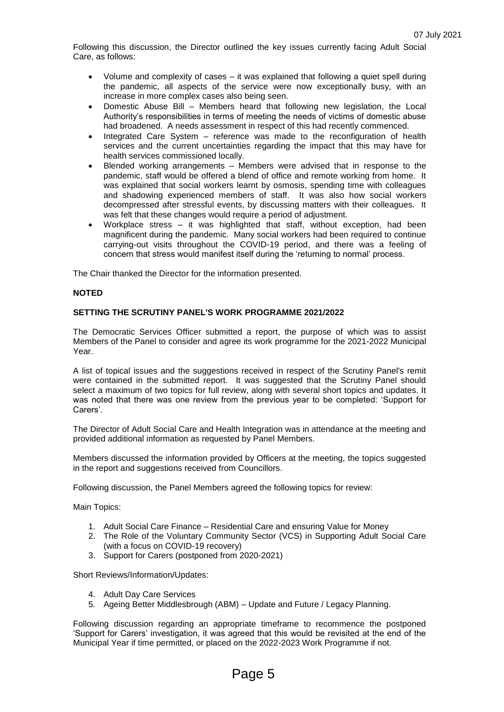Following this discussion, the Director outlined the key issues currently facing Adult Social Care, as follows:

- Volume and complexity of cases it was explained that following a quiet spell during the pandemic, all aspects of the service were now exceptionally busy, with an increase in more complex cases also being seen.
- Domestic Abuse Bill Members heard that following new legislation, the Local Authority's responsibilities in terms of meeting the needs of victims of domestic abuse had broadened. A needs assessment in respect of this had recently commenced.
- Integrated Care System reference was made to the reconfiguration of health services and the current uncertainties regarding the impact that this may have for health services commissioned locally.
- Blended working arrangements Members were advised that in response to the pandemic, staff would be offered a blend of office and remote working from home. It was explained that social workers learnt by osmosis, spending time with colleagues and shadowing experienced members of staff. It was also how social workers decompressed after stressful events, by discussing matters with their colleagues. It was felt that these changes would require a period of adjustment.
- Workplace stress it was highlighted that staff, without exception, had been magnificent during the pandemic. Many social workers had been required to continue carrying-out visits throughout the COVID-19 period, and there was a feeling of concern that stress would manifest itself during the 'returning to normal' process.

The Chair thanked the Director for the information presented.

#### **NOTED**

### **SETTING THE SCRUTINY PANEL'S WORK PROGRAMME 2021/2022**

The Democratic Services Officer submitted a report, the purpose of which was to assist Members of the Panel to consider and agree its work programme for the 2021-2022 Municipal Year.

A list of topical issues and the suggestions received in respect of the Scrutiny Panel's remit were contained in the submitted report. It was suggested that the Scrutiny Panel should select a maximum of two topics for full review, along with several short topics and updates. It was noted that there was one review from the previous year to be completed: 'Support for Carers'.

The Director of Adult Social Care and Health Integration was in attendance at the meeting and provided additional information as requested by Panel Members.

Members discussed the information provided by Officers at the meeting, the topics suggested in the report and suggestions received from Councillors.

Following discussion, the Panel Members agreed the following topics for review:

Main Topics:

- 1. Adult Social Care Finance Residential Care and ensuring Value for Money
- 2. The Role of the Voluntary Community Sector (VCS) in Supporting Adult Social Care (with a focus on COVID-19 recovery)
- 3. Support for Carers (postponed from 2020-2021)

Short Reviews/Information/Updates:

- 4. Adult Day Care Services
- 5. Ageing Better Middlesbrough (ABM) Update and Future / Legacy Planning.

Following discussion regarding an appropriate timeframe to recommence the postponed 'Support for Carers' investigation, it was agreed that this would be revisited at the end of the Municipal Year if time permitted, or placed on the 2022-2023 Work Programme if not.